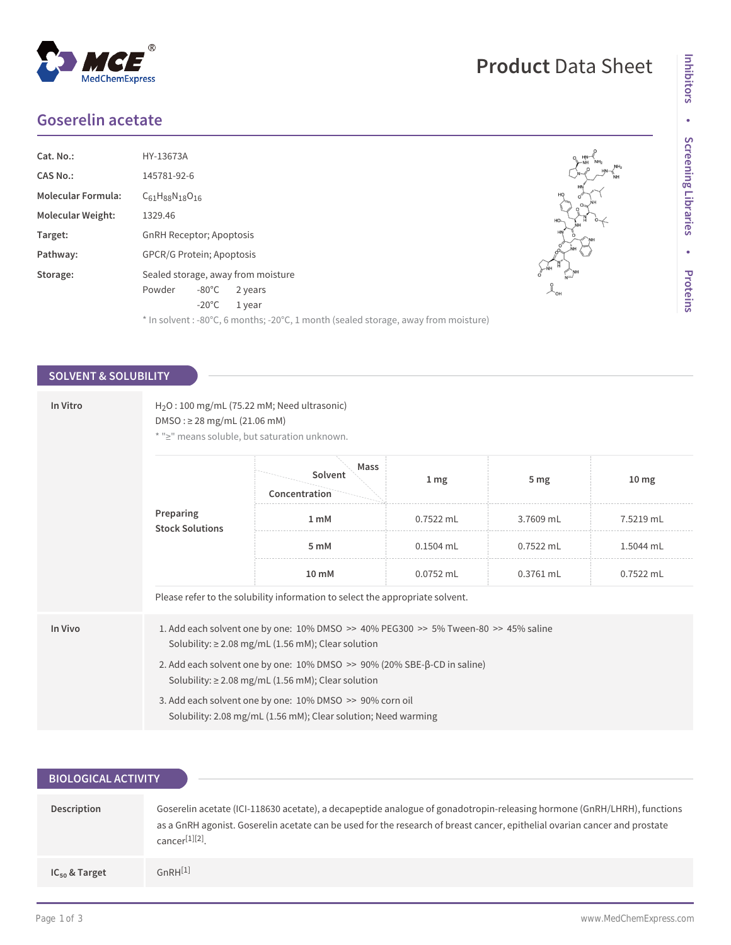## **Goserelin acetate**

| Cat. No.:                | HY-13673A                          |                 |                                                                                    |
|--------------------------|------------------------------------|-----------------|------------------------------------------------------------------------------------|
| CAS No.:                 | 145781-92-6                        |                 |                                                                                    |
| Molecular Formula:       | $C_{61}H_{88}N_{18}O_{16}$         |                 |                                                                                    |
| <b>Molecular Weight:</b> | 1329.46                            |                 |                                                                                    |
| Target:                  | <b>GnRH Receptor: Apoptosis</b>    |                 |                                                                                    |
| Pathway:                 | <b>GPCR/G Protein</b> ; Apoptosis  |                 |                                                                                    |
| Storage:                 | Sealed storage, away from moisture |                 |                                                                                    |
|                          | Powder                             | $-80^{\circ}$ C | 2 years                                                                            |
|                          |                                    | $-20^{\circ}$ C | 1 year                                                                             |
|                          |                                    |                 | * In solvent: -80°C, 6 months; -20°C, 1 month (sealed storage, away from moisture) |

### **SOLVENT & SOLUBILITY**

| In Vitro                            | $H2O$ : 100 mg/mL (75.22 mM; Need ultrasonic)<br>$DMSO: \geq 28$ mg/mL (21.06 mM)<br>* ">" means soluble, but saturation unknown. |                                                                                                                                                                                                                                                                                                                                                                                                                                   |                 |                 |                  |
|-------------------------------------|-----------------------------------------------------------------------------------------------------------------------------------|-----------------------------------------------------------------------------------------------------------------------------------------------------------------------------------------------------------------------------------------------------------------------------------------------------------------------------------------------------------------------------------------------------------------------------------|-----------------|-----------------|------------------|
| Preparing<br><b>Stock Solutions</b> |                                                                                                                                   | Mass<br>Solvent<br>Concentration                                                                                                                                                                                                                                                                                                                                                                                                  | 1 <sub>mg</sub> | 5 <sub>mg</sub> | 10 <sub>mg</sub> |
|                                     |                                                                                                                                   | 1 <sub>m</sub> M                                                                                                                                                                                                                                                                                                                                                                                                                  | 0.7522 mL       | 3.7609 mL       | 7.5219 mL        |
|                                     | 5 mM                                                                                                                              | $0.1504$ mL                                                                                                                                                                                                                                                                                                                                                                                                                       | $0.7522$ mL     | 1.5044 mL       |                  |
|                                     |                                                                                                                                   | 10 mM                                                                                                                                                                                                                                                                                                                                                                                                                             | 0.0752 mL       | 0.3761 mL       | 0.7522 mL        |
|                                     |                                                                                                                                   | Please refer to the solubility information to select the appropriate solvent.                                                                                                                                                                                                                                                                                                                                                     |                 |                 |                  |
| In Vivo                             |                                                                                                                                   | 1. Add each solvent one by one: 10% DMSO >> 40% PEG300 >> 5% Tween-80 >> 45% saline<br>Solubility: $\geq$ 2.08 mg/mL (1.56 mM); Clear solution<br>2. Add each solvent one by one: $10\%$ DMSO $\gg$ 90% (20% SBE- $\beta$ -CD in saline)<br>Solubility: $\geq$ 2.08 mg/mL (1.56 mM); Clear solution<br>3. Add each solvent one by one: 10% DMSO >> 90% corn oil<br>Solubility: 2.08 mg/mL (1.56 mM); Clear solution; Need warming |                 |                 |                  |
|                                     |                                                                                                                                   |                                                                                                                                                                                                                                                                                                                                                                                                                                   |                 |                 |                  |

# **Product** Data Sheet

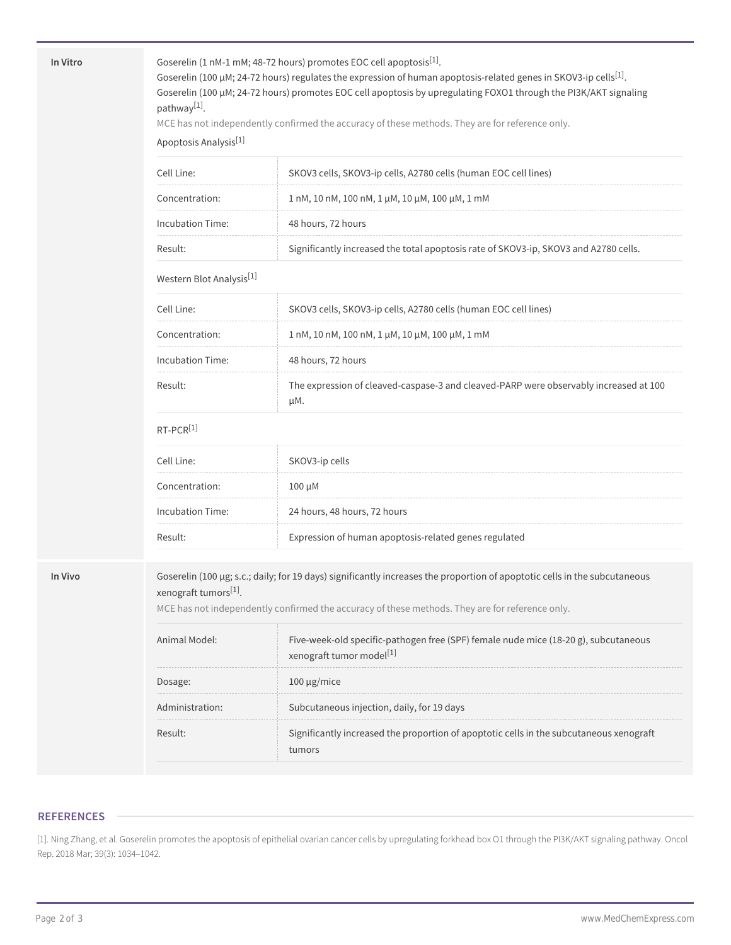In Vitro **Goserelin** (1 nM-1 mM; 48-72 hours) promotes EOC cell apoptosis<sup>[1]</sup>.

Goserelin (100 μM; 24-72 hours) regulates the expression of human apoptosis-related genes in SKOV3-ip cells $^{[1]}$ . Goserelin (100 μM; 24-72 hours) promotes EOC cell apoptosis by upregulating FOXO1 through the PI3K/AKT signaling pathway<sup>[1]</sup>.

MCE has not independently confirmed the accuracy of these methods. They are for reference only.

Apoptosis Analysis[1]

| Cell Line:       | SKOV3 cells, SKOV3-ip cells, A2780 cells (human EOC cell lines)                      |
|------------------|--------------------------------------------------------------------------------------|
| Concentration:   | $1 \text{ nM}$ , 10 nM, 100 nM, $1 \mu$ M, 10 $\mu$ M, 100 $\mu$ M, 1 mM             |
| Incubation Time: | 48 hours, 72 hours                                                                   |
| Result:          | Significantly increased the total apoptosis rate of SKOV3-ip, SKOV3 and A2780 cells. |

#### Western Blot Analysis<sup>[1]</sup>

| Cell Line:       | SKOV3 cells, SKOV3-ip cells, A2780 cells (human EOC cell lines)                              |
|------------------|----------------------------------------------------------------------------------------------|
| Concentration:   | 1 nM, 10 nM, 100 nM, 1 μM, 10 μM, 100 μM, 1 mM                                               |
| Incubation Time: | 48 hours, 72 hours                                                                           |
| Result:          | The expression of cleaved-caspase-3 and cleaved-PARP were observably increased at 100<br>uМ. |

#### RT-PCR[1]

| Cell Line:          | SKOV3-ip cells                                        |
|---------------------|-------------------------------------------------------|
| Concentration:      | $100 \mu M$                                           |
| Incubation Time:    | 24 hours, 48 hours, 72 hours                          |
| Result <sup>.</sup> | Expression of human apoptosis-related genes regulated |

**In Vivo** Goserelin (100 µg; s.c.; daily; for 19 days) significantly increases the proportion of apoptotic cells in the subcutaneous xenograft tumors<sup>[1]</sup>.

MCE has not independently confirmed the accuracy of these methods. They are for reference only.

| Animal Model:       | Five-week-old specific-pathogen free (SPF) female nude mice (18-20 g), subcutaneous<br>xenograft tumor model <sup>[1]</sup> |
|---------------------|-----------------------------------------------------------------------------------------------------------------------------|
| Dosage:             | $100 \mu$ g/mice                                                                                                            |
| Administration:     | Subcutaneous injection, daily, for 19 days                                                                                  |
| Result <sup>.</sup> | Significantly increased the proportion of apoptotic cells in the subcutaneous xenograft<br>tumors                           |

#### **REFERENCES**

[1]. Ning Zhang, et al. Goserelin promotes the apoptosis of epithelial ovarian cancer cells by upregulating forkhead box O1 through the PI3K/AKT signaling pathway. Oncol Rep. 2018 Mar; 39(3): 1034–1042.